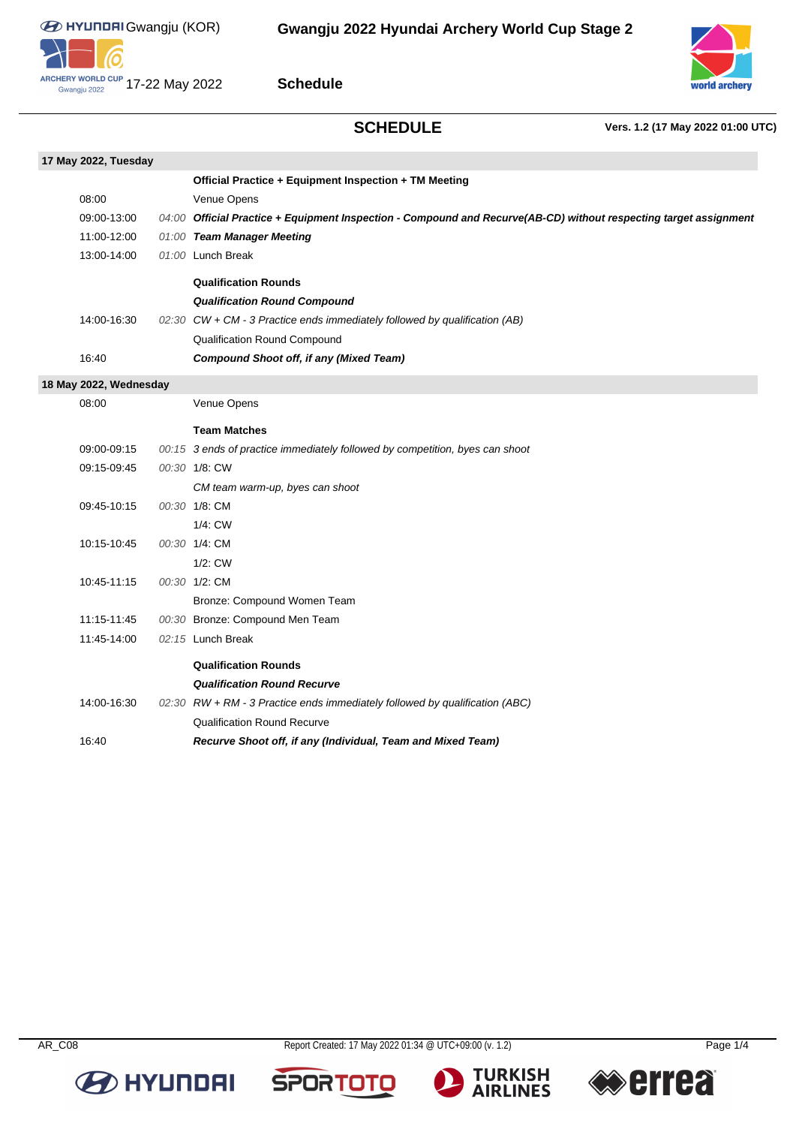**0)** 



**Schedule**

**SCHEDULE Vers. 1.2 (17 May 2022 01:00 UTC)**

| 17 May 2022, Tuesday   |             |  |                                                                                                                   |  |  |  |
|------------------------|-------------|--|-------------------------------------------------------------------------------------------------------------------|--|--|--|
|                        |             |  | Official Practice + Equipment Inspection + TM Meeting                                                             |  |  |  |
|                        | 08:00       |  | Venue Opens                                                                                                       |  |  |  |
|                        | 09:00-13:00 |  | 04:00 Official Practice + Equipment Inspection - Compound and Recurve(AB-CD) without respecting target assignment |  |  |  |
|                        | 11:00-12:00 |  | 01:00 Team Manager Meeting                                                                                        |  |  |  |
|                        | 13:00-14:00 |  | 01:00 Lunch Break                                                                                                 |  |  |  |
|                        |             |  | <b>Qualification Rounds</b>                                                                                       |  |  |  |
|                        |             |  | <b>Qualification Round Compound</b>                                                                               |  |  |  |
|                        | 14:00-16:30 |  | 02:30 CW + CM - 3 Practice ends immediately followed by qualification (AB)                                        |  |  |  |
|                        |             |  | Qualification Round Compound                                                                                      |  |  |  |
|                        | 16:40       |  | <b>Compound Shoot off, if any (Mixed Team)</b>                                                                    |  |  |  |
| 18 May 2022, Wednesday |             |  |                                                                                                                   |  |  |  |
|                        | 08:00       |  | Venue Opens                                                                                                       |  |  |  |
|                        |             |  | <b>Team Matches</b>                                                                                               |  |  |  |
|                        | 09:00-09:15 |  | 00:15 3 ends of practice immediately followed by competition, byes can shoot                                      |  |  |  |
|                        | 09:15-09:45 |  | 00:30 1/8: CW                                                                                                     |  |  |  |
|                        |             |  | CM team warm-up, byes can shoot                                                                                   |  |  |  |
|                        | 09:45-10:15 |  | 00:30 1/8: CM                                                                                                     |  |  |  |
|                        |             |  | 1/4: CW                                                                                                           |  |  |  |
|                        | 10:15-10:45 |  | 00:30 1/4: CM                                                                                                     |  |  |  |
|                        |             |  | 1/2: CW                                                                                                           |  |  |  |
|                        | 10:45-11:15 |  | 00:30 1/2: CM                                                                                                     |  |  |  |
|                        |             |  | Bronze: Compound Women Team                                                                                       |  |  |  |
|                        | 11:15-11:45 |  | 00:30 Bronze: Compound Men Team                                                                                   |  |  |  |
|                        | 11:45-14:00 |  | 02:15 Lunch Break                                                                                                 |  |  |  |
|                        |             |  | <b>Qualification Rounds</b>                                                                                       |  |  |  |
|                        |             |  | <b>Qualification Round Recurve</b>                                                                                |  |  |  |
|                        | 14:00-16:30 |  | 02:30 RW + RM - 3 Practice ends immediately followed by qualification (ABC)                                       |  |  |  |
|                        |             |  | <b>Qualification Round Recurve</b>                                                                                |  |  |  |
|                        | 16:40       |  | Recurve Shoot off, if any (Individual, Team and Mixed Team)                                                       |  |  |  |

**B** HYUNDAI

AR\_C08 Report Created: 17 May 2022 01:34 @ UTC+09:00 (v. 1.2) Page 1/4





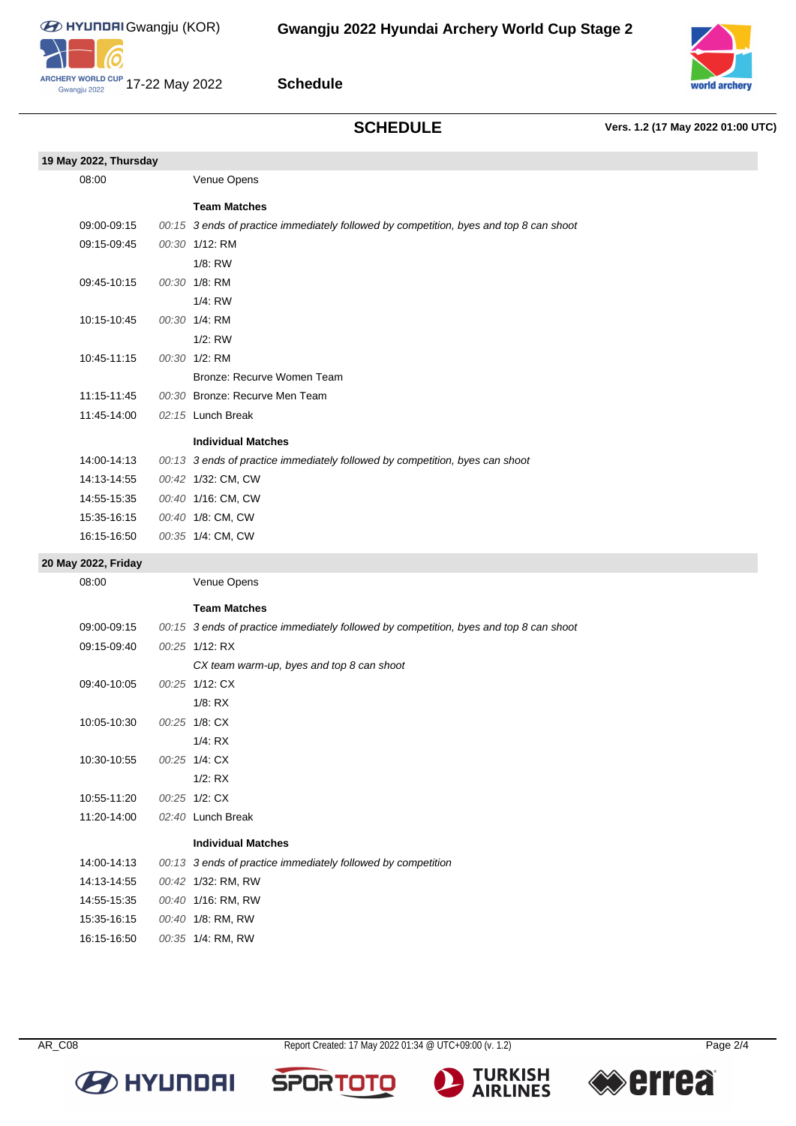10

Gwangju 2022



**Schedule**

# **SCHEDULE Vers. 1.2 (17 May 2022 01:00 UTC)**

| 19 May 2022, Thursday |                                                                                        |
|-----------------------|----------------------------------------------------------------------------------------|
| 08:00                 | Venue Opens                                                                            |
|                       | <b>Team Matches</b>                                                                    |
| 09:00-09:15           | 00:15 3 ends of practice immediately followed by competition, byes and top 8 can shoot |
| 09:15-09:45           | 00:30 1/12: RM                                                                         |
|                       | 1/8: RW                                                                                |
| 09:45-10:15           | 00:30 1/8: RM                                                                          |
|                       | 1/4: RW                                                                                |
| 10:15-10:45           | 00:30 1/4: RM                                                                          |
|                       | $1/2$ : RW                                                                             |
| 10:45-11:15           | 00:30 1/2: RM                                                                          |
|                       | Bronze: Recurve Women Team                                                             |
| 11:15-11:45           | 00:30 Bronze: Recurve Men Team                                                         |
| 11:45-14:00           | 02:15 Lunch Break                                                                      |
|                       | <b>Individual Matches</b>                                                              |
| 14:00-14:13           | 00:13 3 ends of practice immediately followed by competition, byes can shoot           |
| 14:13-14:55           | 00:42 1/32: CM, CW                                                                     |
| 14:55-15:35           | 00:40 1/16: CM, CW                                                                     |
| 15:35-16:15           | 00:40 1/8: CM, CW                                                                      |
| 16:15-16:50           | 00:35 1/4: CM, CW                                                                      |
| 20 May 2022, Friday   |                                                                                        |
| 08:00                 | Venue Opens                                                                            |
|                       | <b>Team Matches</b>                                                                    |
| 09:00-09:15           | 00:15 3 ends of practice immediately followed by competition, byes and top 8 can shoot |
| 09:15-09:40           | 00:25 1/12: RX                                                                         |
|                       | CX team warm-up, byes and top 8 can shoot                                              |
| 09:40-10:05           | 00:25 1/12: CX                                                                         |
|                       | $1/8$ : RX                                                                             |
| 10:05-10:30           | 00:25 1/8: CX                                                                          |
|                       | 1/4: RX                                                                                |
| 10:30-10:55           | 00:25 1/4: CX                                                                          |
|                       | $1/2$ : RX                                                                             |
| 10:55-11:20           | 00:25 1/2: CX                                                                          |
| 11:20-14:00           | 02:40 Lunch Break                                                                      |
|                       | <b>Individual Matches</b>                                                              |
| 14:00-14:13           | 00:13 3 ends of practice immediately followed by competition                           |
| 14:13-14:55           | 00:42 1/32: RM, RW                                                                     |
| 14:55-15:35           | 00:40 1/16: RM, RW                                                                     |
| 15:35-16:15           | 00:40 1/8: RM, RW                                                                      |
| 16:15-16:50           | 00:35 1/4: RM, RW                                                                      |

**B** HYUNDAI

AR\_C08 Report Created: 17 May 2022 01:34 @ UTC+09:00 (v. 1.2) Page 2/4

**SPORTO** 



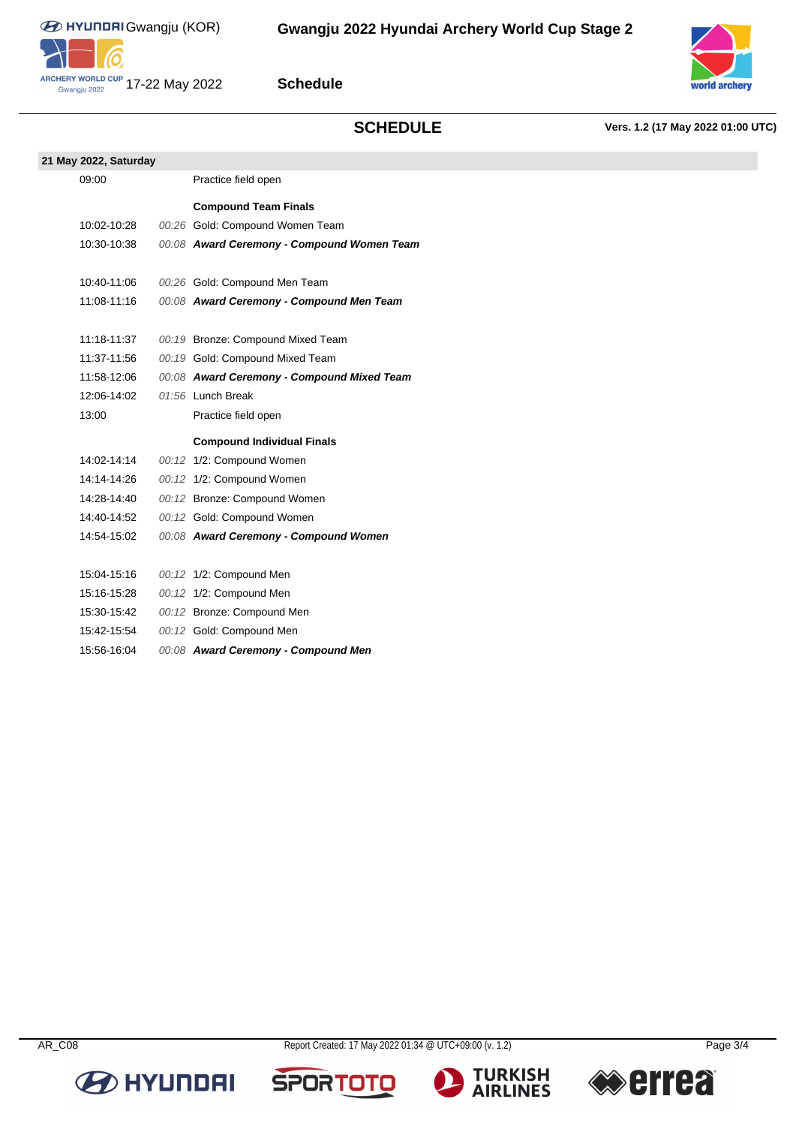

**Schedule**

## **SCHEDULE Vers. 1.2 (17 May 2022 01:00 UTC)**

**21 May 2022, Saturday**

| 2022, Saturday |  |                                                |  |  |  |  |  |  |
|----------------|--|------------------------------------------------|--|--|--|--|--|--|
| 09:00          |  | Practice field open                            |  |  |  |  |  |  |
|                |  | <b>Compound Team Finals</b>                    |  |  |  |  |  |  |
| 10:02-10:28    |  | 00:26 Gold: Compound Women Team                |  |  |  |  |  |  |
| 10.20 10.20    |  | $0.000$ August Concrete Component History Team |  |  |  |  |  |  |

10:30-10:38 00:08 **Award Ceremony - Compound Women Team** 10:40-11:06 00:26 Gold: Compound Men Team 11:08-11:16 00:08 **Award Ceremony - Compound Men Team** 11:18-11:37 00:19 Bronze: Compound Mixed Team 11:37-11:56 00:19 Gold: Compound Mixed Team 11:58-12:06 00:08 **Award Ceremony - Compound Mixed Team** 12:06-14:02 01:56 Lunch Break 13:00 Practice field open **Compound Individual Finals** 14:02-14:14 00:12 1/2: Compound Women 14:14-14:26 00:12 1/2: Compound Women 14:28-14:40 00:12 Bronze: Compound Women 14:40-14:52 00:12 Gold: Compound Women 14:54-15:02 00:08 **Award Ceremony - Compound Women** 15:04-15:16 00:12 1/2: Compound Men 15:16-15:28 00:12 1/2: Compound Men 15:30-15:42 00:12 Bronze: Compound Men 15:42-15:54 00:12 Gold: Compound Men 15:56-16:04 00:08 **Award Ceremony - Compound Men**